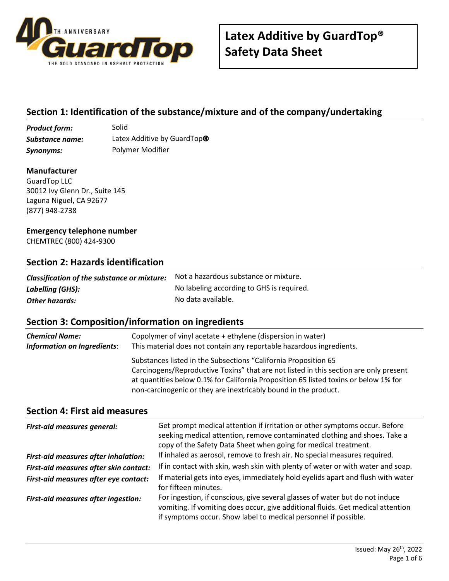

# **Section 1: Identification of the substance/mixture and of the company/undertaking**

**Product form:** Solid *Substance name:* Latex Additive by GuardTop® *Synonyms:* Polymer Modifier

#### **Manufacturer**

GuardTop LLC 30012 Ivy Glenn Dr., Suite 145 Laguna Niguel, CA 92677 (877) 948-2738

#### **Emergency telephone number**

CHEMTREC (800) 424-9300

### **Section 2: Hazards identification**

| Classification of the substance or mixture: | Not a hazardous substance or mixture.     |
|---------------------------------------------|-------------------------------------------|
| Labelling (GHS):                            | No labeling according to GHS is required. |
| Other hazards:                              | No data available.                        |

## **Section 3: Composition/information on ingredients**

| <b>Chemical Name:</b>       | Copolymer of vinyl acetate + ethylene (dispersion in water)                                                                                                                                                                                                                                                         |
|-----------------------------|---------------------------------------------------------------------------------------------------------------------------------------------------------------------------------------------------------------------------------------------------------------------------------------------------------------------|
| Information on Ingredients: | This material does not contain any reportable hazardous ingredients.                                                                                                                                                                                                                                                |
|                             | Substances listed in the Subsections "California Proposition 65<br>Carcinogens/Reproductive Toxins" that are not listed in this section are only present<br>at quantities below 0.1% for California Proposition 65 listed toxins or below 1% for<br>non-carcinogenic or they are inextricably bound in the product. |

#### **Section 4: First aid measures**

| <b>First-aid measures general:</b>         | Get prompt medical attention if irritation or other symptoms occur. Before<br>seeking medical attention, remove contaminated clothing and shoes. Take a<br>copy of the Safety Data Sheet when going for medical treatment.         |
|--------------------------------------------|------------------------------------------------------------------------------------------------------------------------------------------------------------------------------------------------------------------------------------|
| First-aid measures after inhalation:       | If inhaled as aerosol, remove to fresh air. No special measures required.                                                                                                                                                          |
| First-aid measures after skin contact:     | If in contact with skin, wash skin with plenty of water or with water and soap.                                                                                                                                                    |
| First-aid measures after eye contact:      | If material gets into eyes, immediately hold eyelids apart and flush with water<br>for fifteen minutes.                                                                                                                            |
| <b>First-aid measures after ingestion:</b> | For ingestion, if conscious, give several glasses of water but do not induce<br>vomiting. If vomiting does occur, give additional fluids. Get medical attention<br>if symptoms occur. Show label to medical personnel if possible. |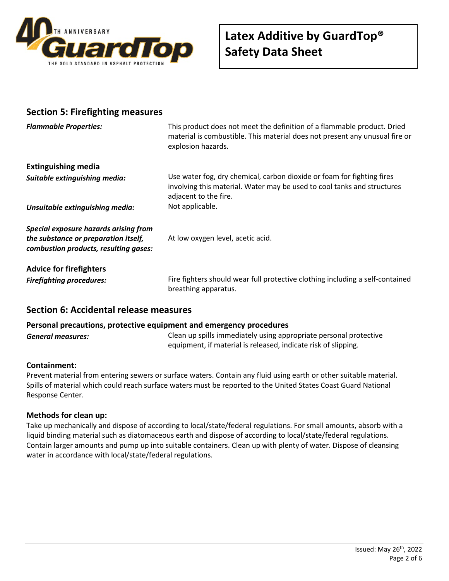

| <b>Section 5: Firefighting measures</b>                                                                                |                                                                                                                                                                              |
|------------------------------------------------------------------------------------------------------------------------|------------------------------------------------------------------------------------------------------------------------------------------------------------------------------|
| <b>Flammable Properties:</b>                                                                                           | This product does not meet the definition of a flammable product. Dried<br>material is combustible. This material does not present any unusual fire or<br>explosion hazards. |
| <b>Extinguishing media</b>                                                                                             |                                                                                                                                                                              |
| Suitable extinguishing media:                                                                                          | Use water fog, dry chemical, carbon dioxide or foam for fighting fires<br>involving this material. Water may be used to cool tanks and structures<br>adjacent to the fire.   |
| Unsuitable extinguishing media:                                                                                        | Not applicable.                                                                                                                                                              |
| Special exposure hazards arising from<br>the substance or preparation itself,<br>combustion products, resulting gases: | At low oxygen level, acetic acid.                                                                                                                                            |
| <b>Advice for firefighters</b><br><b>Firefighting procedures:</b>                                                      | Fire fighters should wear full protective clothing including a self-contained<br>breathing apparatus.                                                                        |

## **Section 6: Accidental release measures**

### **Personal precautions, protective equipment and emergency procedures**

*General measures:* Clean up spills immediately using appropriate personal protective equipment, if material is released, indicate risk of slipping.

#### **Containment:**

Prevent material from entering sewers or surface waters. Contain any fluid using earth or other suitable material. Spills of material which could reach surface waters must be reported to the United States Coast Guard National Response Center.

#### **Methods for clean up:**

Take up mechanically and dispose of according to local/state/federal regulations. For small amounts, absorb with a liquid binding material such as diatomaceous earth and dispose of according to local/state/federal regulations. Contain larger amounts and pump up into suitable containers. Clean up with plenty of water. Dispose of cleansing water in accordance with local/state/federal regulations.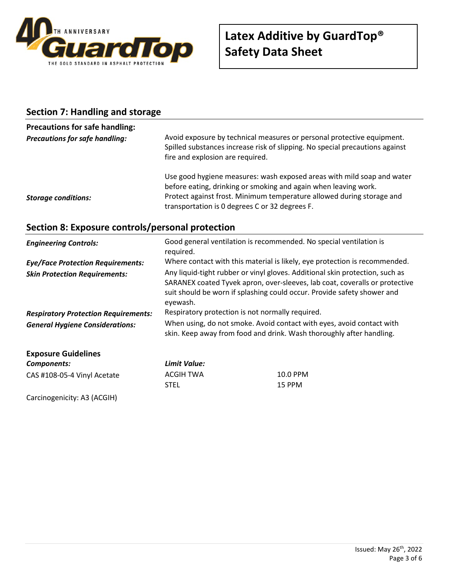

### **Section 7: Handling and storage**

## **Precautions for safe handling: Precautions for safe handling:** Avoid exposure by technical measures or personal protective equipment. Spilled substances increase risk of slipping. No special precautions against fire and explosion are required. Use good hygiene measures: wash exposed areas with mild soap and water before eating, drinking or smoking and again when leaving work. **Storage conditions: Protect against frost. Minimum temperature allowed during storage and** transportation is 0 degrees C or 32 degrees F.

## **Section 8: Exposure controls/personal protection**

| <b>Engineering Controls:</b>                | required.                                                                                                                                                                                                                                          | Good general ventilation is recommended. No special ventilation is         |
|---------------------------------------------|----------------------------------------------------------------------------------------------------------------------------------------------------------------------------------------------------------------------------------------------------|----------------------------------------------------------------------------|
| <b>Eye/Face Protection Requirements:</b>    |                                                                                                                                                                                                                                                    | Where contact with this material is likely, eye protection is recommended. |
| <b>Skin Protection Requirements:</b>        | Any liquid-tight rubber or vinyl gloves. Additional skin protection, such as<br>SARANEX coated Tyvek apron, over-sleeves, lab coat, coveralls or protective<br>suit should be worn if splashing could occur. Provide safety shower and<br>eyewash. |                                                                            |
| <b>Respiratory Protection Requirements:</b> | Respiratory protection is not normally required.                                                                                                                                                                                                   |                                                                            |
| <b>General Hygiene Considerations:</b>      | When using, do not smoke. Avoid contact with eyes, avoid contact with<br>skin. Keep away from food and drink. Wash thoroughly after handling.                                                                                                      |                                                                            |
| <b>Exposure Guidelines</b>                  |                                                                                                                                                                                                                                                    |                                                                            |
| Components:                                 | Limit Value:                                                                                                                                                                                                                                       |                                                                            |
| CAS #108-05-4 Vinyl Acetate                 | <b>ACGIH TWA</b>                                                                                                                                                                                                                                   | 10.0 PPM                                                                   |
|                                             | <b>STEL</b>                                                                                                                                                                                                                                        | 15 PPM                                                                     |

Carcinogenicity: A3 (ACGIH)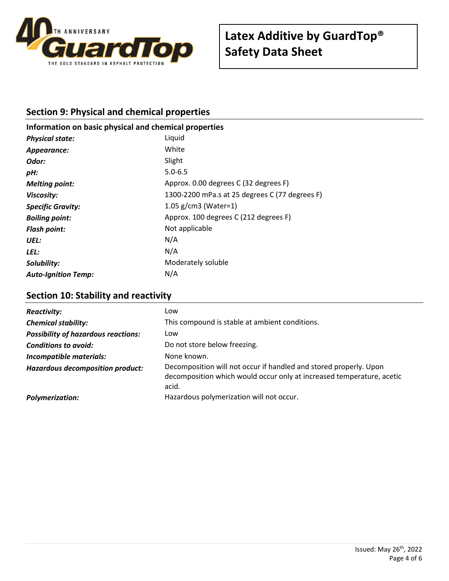

# **Section 9: Physical and chemical properties**

# **Information on basic physical and chemical properties** *Physical state:* Liquid *Appearance:* White **Odor:** Slight *pH:* 5.0-6.5 *Melting point:* Approx. 0.00 degrees C (32 degrees F) *Viscosity:* 1300-2200 mPa.s at 25 degrees C (77 degrees F) *Specific Gravity:* 1.05 g/cm3 (Water=1) *Boiling point:* Approx. 100 degrees C (212 degrees F) **Flash point:** Not applicable *UEL:* N/A *LEL:* N/A **Solubility:** Moderately soluble *Auto-Ignition Temp:* N/A

## **Section 10: Stability and reactivity**

| <b>Reactivity:</b>                         | Low                                                                                                                                                 |
|--------------------------------------------|-----------------------------------------------------------------------------------------------------------------------------------------------------|
| <b>Chemical stability:</b>                 | This compound is stable at ambient conditions.                                                                                                      |
| <b>Possibility of hazardous reactions:</b> | Low                                                                                                                                                 |
| <b>Conditions to avoid:</b>                | Do not store below freezing.                                                                                                                        |
| Incompatible materials:                    | None known.                                                                                                                                         |
| <b>Hazardous decomposition product:</b>    | Decomposition will not occur if handled and stored properly. Upon<br>decomposition which would occur only at increased temperature, acetic<br>acid. |
| <b>Polymerization:</b>                     | Hazardous polymerization will not occur.                                                                                                            |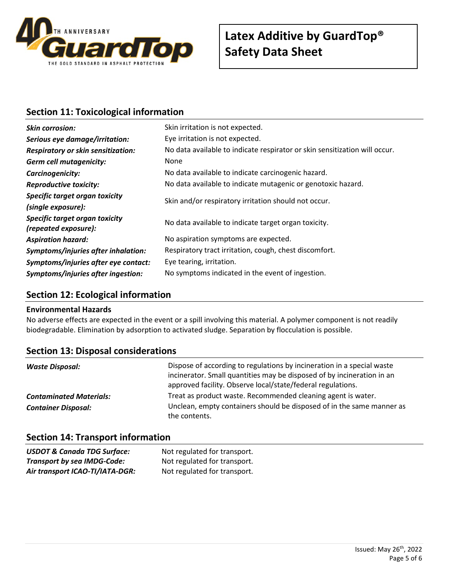

## **Section 11: Toxicological information**

| <b>Skin corrosion:</b>                                 | Skin irritation is not expected.                                           |  |
|--------------------------------------------------------|----------------------------------------------------------------------------|--|
| Serious eye damage/irritation:                         | Eye irritation is not expected.                                            |  |
| <b>Respiratory or skin sensitization:</b>              | No data available to indicate respirator or skin sensitization will occur. |  |
| <b>Germ cell mutagenicity:</b>                         | <b>None</b>                                                                |  |
| Carcinogenicity:                                       | No data available to indicate carcinogenic hazard.                         |  |
| <b>Reproductive toxicity:</b>                          | No data available to indicate mutagenic or genotoxic hazard.               |  |
| Specific target organ toxicity                         | Skin and/or respiratory irritation should not occur.                       |  |
| (single exposure):                                     |                                                                            |  |
| Specific target organ toxicity<br>(repeated exposure): | No data available to indicate target organ toxicity.                       |  |
| <b>Aspiration hazard:</b>                              | No aspiration symptoms are expected.                                       |  |
| Symptoms/injuries after inhalation:                    | Respiratory tract irritation, cough, chest discomfort.                     |  |
| Symptoms/injuries after eye contact:                   | Eye tearing, irritation.                                                   |  |
| Symptoms/injuries after ingestion:                     | No symptoms indicated in the event of ingestion.                           |  |

## **Section 12: Ecological information**

#### **Environmental Hazards**

No adverse effects are expected in the event or a spill involving this material. A polymer component is not readily biodegradable. Elimination by adsorption to activated sludge. Separation by flocculation is possible.

| <b>Section 13: Disposal considerations</b> |  |
|--------------------------------------------|--|
|--------------------------------------------|--|

| Waste Disposal:                | Dispose of according to regulations by incineration in a special waste<br>incinerator. Small quantities may be disposed of by incineration in an<br>approved facility. Observe local/state/federal regulations. |
|--------------------------------|-----------------------------------------------------------------------------------------------------------------------------------------------------------------------------------------------------------------|
| <b>Contaminated Materials:</b> | Treat as product waste. Recommended cleaning agent is water.                                                                                                                                                    |
| <b>Container Disposal:</b>     | Unclean, empty containers should be disposed of in the same manner as<br>the contents.                                                                                                                          |

## **Section 14: Transport information**

| <b>USDOT &amp; Canada TDG Surface:</b> | Not regulated for transport. |
|----------------------------------------|------------------------------|
| <b>Transport by sea IMDG-Code:</b>     | Not regulated for transport. |
| Air transport ICAO-TI/IATA-DGR:        | Not regulated for transport. |